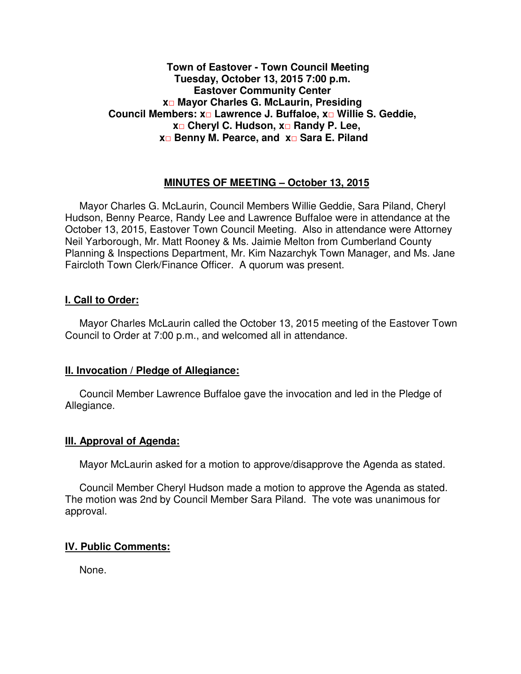## **Town of Eastover - Town Council Meeting Tuesday, October 13, 2015 7:00 p.m. Eastover Community Center x□ Mayor Charles G. McLaurin, Presiding Council Members: x□ Lawrence J. Buffaloe, x□ Willie S. Geddie, x□ Cheryl C. Hudson, x□ Randy P. Lee, x□ Benny M. Pearce, and x□ Sara E. Piland**

# **MINUTES OF MEETING – October 13, 2015**

Mayor Charles G. McLaurin, Council Members Willie Geddie, Sara Piland, Cheryl Hudson, Benny Pearce, Randy Lee and Lawrence Buffaloe were in attendance at the October 13, 2015, Eastover Town Council Meeting. Also in attendance were Attorney Neil Yarborough, Mr. Matt Rooney & Ms. Jaimie Melton from Cumberland County Planning & Inspections Department, Mr. Kim Nazarchyk Town Manager, and Ms. Jane Faircloth Town Clerk/Finance Officer. A quorum was present.

### **I. Call to Order:**

Mayor Charles McLaurin called the October 13, 2015 meeting of the Eastover Town Council to Order at 7:00 p.m., and welcomed all in attendance.

### **II. Invocation / Pledge of Allegiance:**

 Council Member Lawrence Buffaloe gave the invocation and led in the Pledge of Allegiance.

### **III. Approval of Agenda:**

Mayor McLaurin asked for a motion to approve/disapprove the Agenda as stated.

 Council Member Cheryl Hudson made a motion to approve the Agenda as stated. The motion was 2nd by Council Member Sara Piland. The vote was unanimous for approval.

### **IV. Public Comments:**

None.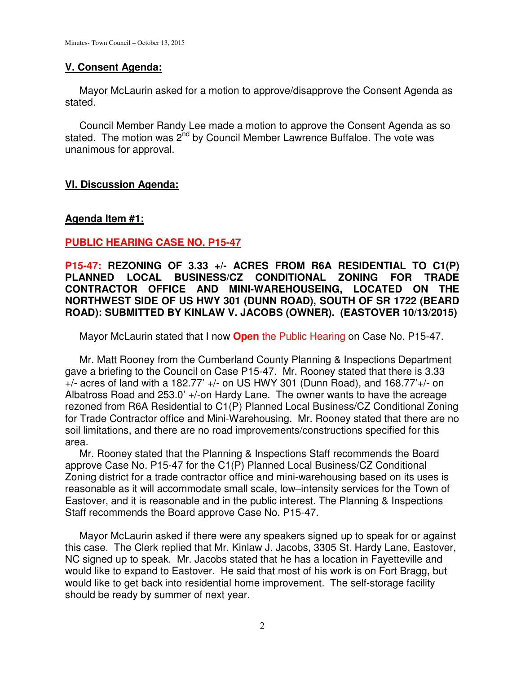# **V. Consent Agenda:**

 Mayor McLaurin asked for a motion to approve/disapprove the Consent Agenda as stated.

 Council Member Randy Lee made a motion to approve the Consent Agenda as so stated. The motion was 2<sup>nd</sup> by Council Member Lawrence Buffaloe. The vote was unanimous for approval.

# **VI. Discussion Agenda:**

# **Agenda Item #1:**

# **PUBLIC HEARING CASE NO. P15-47**

**P15-47: REZONING OF 3.33 +/- ACRES FROM R6A RESIDENTIAL TO C1(P) PLANNED LOCAL BUSINESS/CZ CONDITIONAL ZONING FOR TRADE CONTRACTOR OFFICE AND MINI-WAREHOUSEING, LOCATED ON THE NORTHWEST SIDE OF US HWY 301 (DUNN ROAD), SOUTH OF SR 1722 (BEARD ROAD): SUBMITTED BY KINLAW V. JACOBS (OWNER). (EASTOVER 10/13/2015)** 

Mayor McLaurin stated that I now **Open** the Public Hearing on Case No. P15-47.

 Mr. Matt Rooney from the Cumberland County Planning & Inspections Department gave a briefing to the Council on Case P15-47. Mr. Rooney stated that there is 3.33  $+/-$  acres of land with a 182.77'  $+/-$  on US HWY 301 (Dunn Road), and 168.77' $+/-$  on Albatross Road and 253.0' +/-on Hardy Lane. The owner wants to have the acreage rezoned from R6A Residential to C1(P) Planned Local Business/CZ Conditional Zoning for Trade Contractor office and Mini-Warehousing. Mr. Rooney stated that there are no soil limitations, and there are no road improvements/constructions specified for this area.

 Mr. Rooney stated that the Planning & Inspections Staff recommends the Board approve Case No. P15-47 for the C1(P) Planned Local Business/CZ Conditional Zoning district for a trade contractor office and mini-warehousing based on its uses is reasonable as it will accommodate small scale, low–intensity services for the Town of Eastover, and it is reasonable and in the public interest. The Planning & Inspections Staff recommends the Board approve Case No. P15-47.

 Mayor McLaurin asked if there were any speakers signed up to speak for or against this case. The Clerk replied that Mr. Kinlaw J. Jacobs, 3305 St. Hardy Lane, Eastover, NC signed up to speak. Mr. Jacobs stated that he has a location in Fayetteville and would like to expand to Eastover. He said that most of his work is on Fort Bragg, but would like to get back into residential home improvement. The self-storage facility should be ready by summer of next year.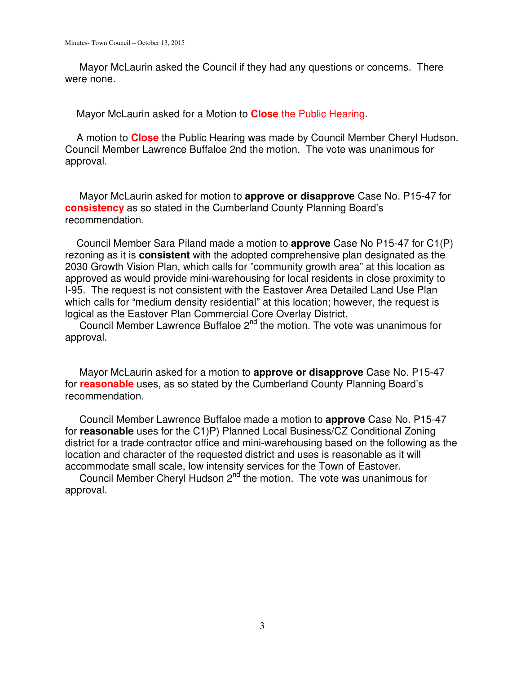Mayor McLaurin asked the Council if they had any questions or concerns. There were none.

Mayor McLaurin asked for a Motion to **Close** the Public Hearing.

 A motion to **Close** the Public Hearing was made by Council Member Cheryl Hudson. Council Member Lawrence Buffaloe 2nd the motion. The vote was unanimous for approval.

 Mayor McLaurin asked for motion to **approve or disapprove** Case No. P15-47 for **consistency** as so stated in the Cumberland County Planning Board's recommendation.

 Council Member Sara Piland made a motion to **approve** Case No P15-47 for C1(P) rezoning as it is **consistent** with the adopted comprehensive plan designated as the 2030 Growth Vision Plan, which calls for "community growth area" at this location as approved as would provide mini-warehousing for local residents in close proximity to I-95. The request is not consistent with the Eastover Area Detailed Land Use Plan which calls for "medium density residential" at this location; however, the request is logical as the Eastover Plan Commercial Core Overlay District.

Council Member Lawrence Buffaloe  $2^{nd}$  the motion. The vote was unanimous for approval.

 Mayor McLaurin asked for a motion to **approve or disapprove** Case No. P15-47 for **reasonable** uses, as so stated by the Cumberland County Planning Board's recommendation.

 Council Member Lawrence Buffaloe made a motion to **approve** Case No. P15-47 for **reasonable** uses for the C1)P) Planned Local Business/CZ Conditional Zoning district for a trade contractor office and mini-warehousing based on the following as the location and character of the requested district and uses is reasonable as it will accommodate small scale, low intensity services for the Town of Eastover.

Council Member Cheryl Hudson  $2^{nd}$  the motion. The vote was unanimous for approval.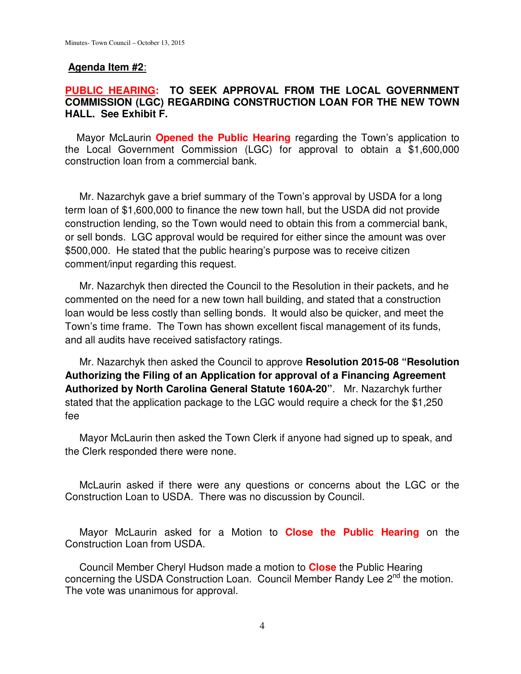### **Agenda Item #2**:

# **PUBLIC HEARING: TO SEEK APPROVAL FROM THE LOCAL GOVERNMENT COMMISSION (LGC) REGARDING CONSTRUCTION LOAN FOR THE NEW TOWN HALL. See Exhibit F.**

 Mayor McLaurin **Opened the Public Hearing** regarding the Town's application to the Local Government Commission (LGC) for approval to obtain a \$1,600,000 construction loan from a commercial bank.

 Mr. Nazarchyk gave a brief summary of the Town's approval by USDA for a long term loan of \$1,600,000 to finance the new town hall, but the USDA did not provide construction lending, so the Town would need to obtain this from a commercial bank, or sell bonds. LGC approval would be required for either since the amount was over \$500,000. He stated that the public hearing's purpose was to receive citizen comment/input regarding this request.

 Mr. Nazarchyk then directed the Council to the Resolution in their packets, and he commented on the need for a new town hall building, and stated that a construction loan would be less costly than selling bonds. It would also be quicker, and meet the Town's time frame. The Town has shown excellent fiscal management of its funds, and all audits have received satisfactory ratings.

 Mr. Nazarchyk then asked the Council to approve **Resolution 2015-08 "Resolution Authorizing the Filing of an Application for approval of a Financing Agreement Authorized by North Carolina General Statute 160A-20"**. Mr. Nazarchyk further stated that the application package to the LGC would require a check for the \$1,250 fee

 Mayor McLaurin then asked the Town Clerk if anyone had signed up to speak, and the Clerk responded there were none.

 McLaurin asked if there were any questions or concerns about the LGC or the Construction Loan to USDA. There was no discussion by Council.

 Mayor McLaurin asked for a Motion to **Close the Public Hearing** on the Construction Loan from USDA.

 Council Member Cheryl Hudson made a motion to **Close** the Public Hearing concerning the USDA Construction Loan. Council Member Randy Lee 2<sup>nd</sup> the motion. The vote was unanimous for approval.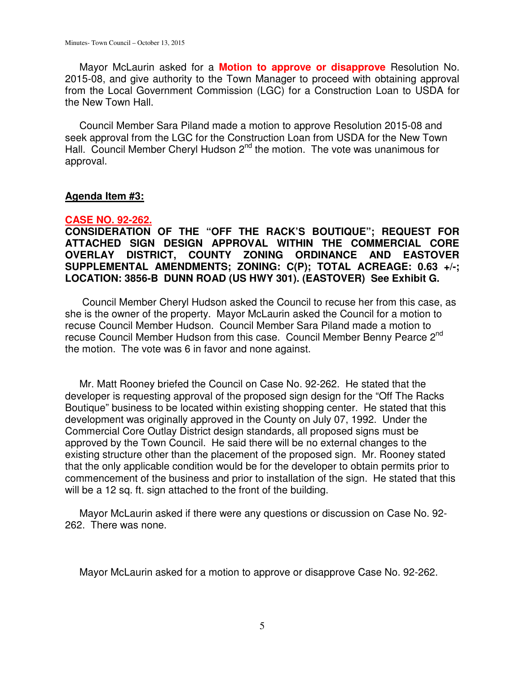Mayor McLaurin asked for a **Motion to approve or disapprove** Resolution No. 2015-08, and give authority to the Town Manager to proceed with obtaining approval from the Local Government Commission (LGC) for a Construction Loan to USDA for the New Town Hall.

 Council Member Sara Piland made a motion to approve Resolution 2015-08 and seek approval from the LGC for the Construction Loan from USDA for the New Town Hall. Council Member Cheryl Hudson 2<sup>nd</sup> the motion. The vote was unanimous for approval.

#### **Agenda Item #3:**

#### **CASE NO. 92-262.**

**CONSIDERATION OF THE "OFF THE RACK'S BOUTIQUE"; REQUEST FOR ATTACHED SIGN DESIGN APPROVAL WITHIN THE COMMERCIAL CORE OVERLAY DISTRICT, COUNTY ZONING ORDINANCE AND EASTOVER SUPPLEMENTAL AMENDMENTS; ZONING: C(P); TOTAL ACREAGE: 0.63 +/-; LOCATION: 3856-B DUNN ROAD (US HWY 301). (EASTOVER) See Exhibit G.** 

 Council Member Cheryl Hudson asked the Council to recuse her from this case, as she is the owner of the property. Mayor McLaurin asked the Council for a motion to recuse Council Member Hudson. Council Member Sara Piland made a motion to recuse Council Member Hudson from this case. Council Member Benny Pearce 2<sup>nd</sup> the motion. The vote was 6 in favor and none against.

Mr. Matt Rooney briefed the Council on Case No. 92-262. He stated that the developer is requesting approval of the proposed sign design for the "Off The Racks Boutique" business to be located within existing shopping center. He stated that this development was originally approved in the County on July 07, 1992. Under the Commercial Core Outlay District design standards, all proposed signs must be approved by the Town Council. He said there will be no external changes to the existing structure other than the placement of the proposed sign. Mr. Rooney stated that the only applicable condition would be for the developer to obtain permits prior to commencement of the business and prior to installation of the sign. He stated that this will be a 12 sq. ft. sign attached to the front of the building.

 Mayor McLaurin asked if there were any questions or discussion on Case No. 92- 262. There was none.

Mayor McLaurin asked for a motion to approve or disapprove Case No. 92-262.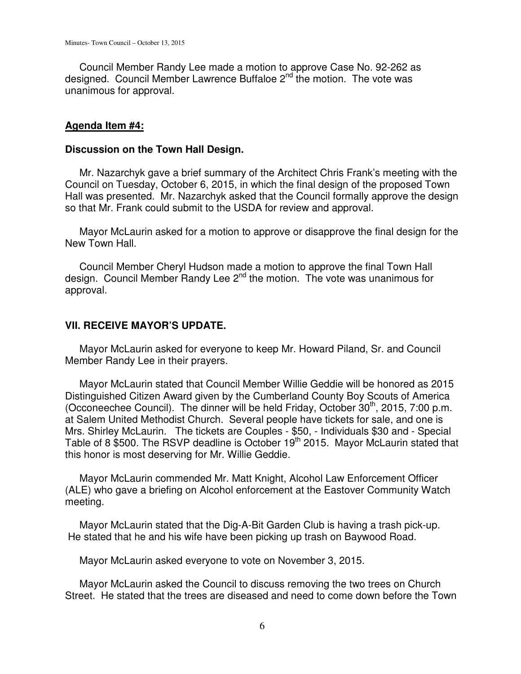Council Member Randy Lee made a motion to approve Case No. 92-262 as designed. Council Member Lawrence Buffaloe 2<sup>nd</sup> the motion. The vote was unanimous for approval.

#### **Agenda Item #4:**

#### **Discussion on the Town Hall Design.**

 Mr. Nazarchyk gave a brief summary of the Architect Chris Frank's meeting with the Council on Tuesday, October 6, 2015, in which the final design of the proposed Town Hall was presented. Mr. Nazarchyk asked that the Council formally approve the design so that Mr. Frank could submit to the USDA for review and approval.

 Mayor McLaurin asked for a motion to approve or disapprove the final design for the New Town Hall.

 Council Member Cheryl Hudson made a motion to approve the final Town Hall design. Council Member Randy Lee  $2^{nd}$  the motion. The vote was unanimous for approval.

#### **VII. RECEIVE MAYOR'S UPDATE.**

 Mayor McLaurin asked for everyone to keep Mr. Howard Piland, Sr. and Council Member Randy Lee in their prayers.

 Mayor McLaurin stated that Council Member Willie Geddie will be honored as 2015 Distinguished Citizen Award given by the Cumberland County Boy Scouts of America (Occoneechee Council). The dinner will be held Friday, October  $30<sup>th</sup>$ , 2015, 7:00 p.m. at Salem United Methodist Church. Several people have tickets for sale, and one is Mrs. Shirley McLaurin. The tickets are Couples - \$50, - Individuals \$30 and - Special Table of 8 \$500. The RSVP deadline is October 19<sup>th</sup> 2015. Mayor McLaurin stated that this honor is most deserving for Mr. Willie Geddie.

 Mayor McLaurin commended Mr. Matt Knight, Alcohol Law Enforcement Officer (ALE) who gave a briefing on Alcohol enforcement at the Eastover Community Watch meeting.

 Mayor McLaurin stated that the Dig-A-Bit Garden Club is having a trash pick-up. He stated that he and his wife have been picking up trash on Baywood Road.

Mayor McLaurin asked everyone to vote on November 3, 2015.

 Mayor McLaurin asked the Council to discuss removing the two trees on Church Street. He stated that the trees are diseased and need to come down before the Town